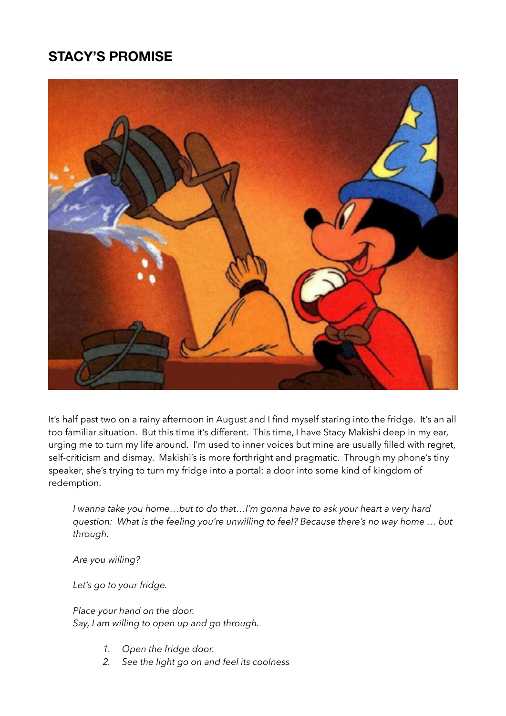## **STACY'S PROMISE**



It's half past two on a rainy afternoon in August and I find myself staring into the fridge. It's an all too familiar situation. But this time it's different. This time, I have Stacy Makishi deep in my ear, urging me to turn my life around. I'm used to inner voices but mine are usually filled with regret, self-criticism and dismay. Makishi's is more forthright and pragmatic. Through my phone's tiny speaker, she's trying to turn my fridge into a portal: a door into some kind of kingdom of redemption.

*I wanna take you home…but to do that…I'm gonna have to ask your heart a very hard question: What is the feeling you're unwilling to feel? Because there's no way home … but through.* 

*Are you willing?* 

*Let's go to your fridge.* 

*Place your hand on the door. Say, I am willing to open up and go through.*

- 1. Open the fridge door.
- *2. See the light go on and feel its coolness*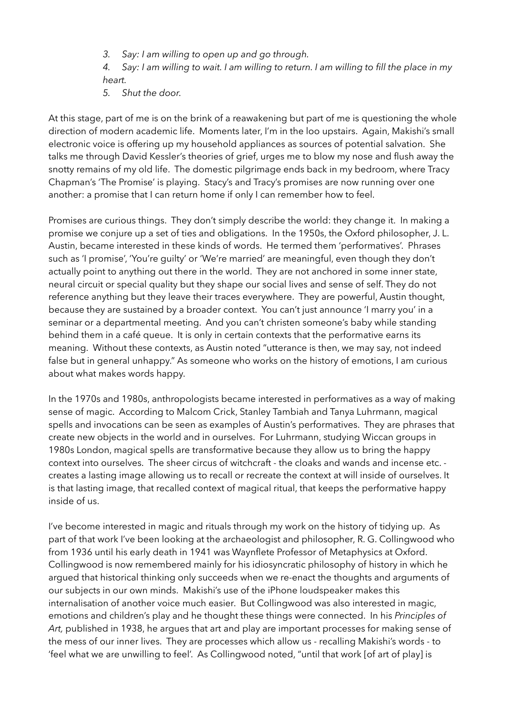*3. Say: I am willing to open up and go through.* 

*4. Say: I am willing to wait. I am willing to return. I am willing to fill the place in my heart.*

*5. Shut the door.*

At this stage, part of me is on the brink of a reawakening but part of me is questioning the whole direction of modern academic life. Moments later, I'm in the loo upstairs. Again, Makishi's small electronic voice is offering up my household appliances as sources of potential salvation. She talks me through David Kessler's theories of grief, urges me to blow my nose and flush away the snotty remains of my old life. The domestic pilgrimage ends back in my bedroom, where Tracy Chapman's 'The Promise' is playing. Stacy's and Tracy's promises are now running over one another: a promise that I can return home if only I can remember how to feel.

Promises are curious things. They don't simply describe the world: they change it. In making a promise we conjure up a set of ties and obligations. In the 1950s, the Oxford philosopher, J. L. Austin, became interested in these kinds of words. He termed them 'performatives'. Phrases such as 'I promise', 'You're guilty' or 'We're married' are meaningful, even though they don't actually point to anything out there in the world. They are not anchored in some inner state, neural circuit or special quality but they shape our social lives and sense of self. They do not reference anything but they leave their traces everywhere. They are powerful, Austin thought, because they are sustained by a broader context. You can't just announce 'I marry you' in a seminar or a departmental meeting. And you can't christen someone's baby while standing behind them in a café queue. It is only in certain contexts that the performative earns its meaning. Without these contexts, as Austin noted "utterance is then, we may say, not indeed false but in general unhappy." As someone who works on the history of emotions, I am curious about what makes words happy.

In the 1970s and 1980s, anthropologists became interested in performatives as a way of making sense of magic. According to Malcom Crick, Stanley Tambiah and Tanya Luhrmann, magical spells and invocations can be seen as examples of Austin's performatives. They are phrases that create new objects in the world and in ourselves. For Luhrmann, studying Wiccan groups in 1980s London, magical spells are transformative because they allow us to bring the happy context into ourselves. The sheer circus of witchcraft - the cloaks and wands and incense etc. creates a lasting image allowing us to recall or recreate the context at will inside of ourselves. It is that lasting image, that recalled context of magical ritual, that keeps the performative happy inside of us.

I've become interested in magic and rituals through my work on the history of tidying up. As part of that work I've been looking at the archaeologist and philosopher, R. G. Collingwood who from 1936 until his early death in 1941 was Waynflete Professor of Metaphysics at Oxford. Collingwood is now remembered mainly for his idiosyncratic philosophy of history in which he argued that historical thinking only succeeds when we re-enact the thoughts and arguments of our subjects in our own minds. Makishi's use of the iPhone loudspeaker makes this internalisation of another voice much easier. But Collingwood was also interested in magic, emotions and children's play and he thought these things were connected. In his *Principles of Art,* published in 1938, he argues that art and play are important processes for making sense of the mess of our inner lives. They are processes which allow us - recalling Makishi's words - to 'feel what we are unwilling to feel'. As Collingwood noted, "until that work [of art of play] is